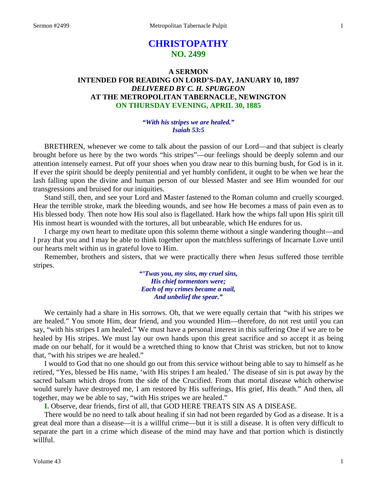# **CHRISTOPATHY NO. 2499**

# **A SERMON INTENDED FOR READING ON LORD'S-DAY, JANUARY 10, 1897** *DELIVERED BY C. H. SPURGEON* **AT THE METROPOLITAN TABERNACLE, NEWINGTON ON THURSDAY EVENING, APRIL 30, 1885**

# *"With his stripes we are healed." Isaiah 53:5*

BRETHREN, whenever we come to talk about the passion of our Lord—and that subject is clearly brought before us here by the two words "his stripes"—our feelings should be deeply solemn and our attention intensely earnest. Put off your shoes when you draw near to this burning bush, for God is in it. If ever the spirit should be deeply penitential and yet humbly confident, it ought to be when we hear the lash falling upon the divine and human person of our blessed Master and see Him wounded for our transgressions and bruised for our iniquities.

Stand still, then, and see your Lord and Master fastened to the Roman column and cruelly scourged. Hear the terrible stroke, mark the bleeding wounds, and see how He becomes a mass of pain even as to His blessed body. Then note how His soul also is flagellated. Hark how the whips fall upon His spirit till His inmost heart is wounded with the tortures, all but unbearable, which He endures for us.

I charge my own heart to meditate upon this solemn theme without a single wandering thought—and I pray that you and I may be able to think together upon the matchless sufferings of Incarnate Love until our hearts melt within us in grateful love to Him.

Remember, brothers and sisters, that we were practically there when Jesus suffered those terrible stripes.

> *"'Twas you, my sins, my cruel sins, His chief tormentors were; Each of my crimes became a nail, And unbelief the spear."*

We certainly had a share in His sorrows. Oh, that we were equally certain that *"*with his stripes we are healed." You smote Him, dear friend, and you wounded Him—therefore, do not rest until you can say, "with his stripes I am healed." We must have a personal interest in this suffering One if we are to be healed by His stripes. We must lay our own hands upon this great sacrifice and so accept it as being made on our behalf, for it would be a wretched thing to know that Christ was stricken, but not to know that, "with his stripes we are healed."

I would to God that no one should go out from this service without being able to say to himself as he retired, "Yes, blessed be His name, 'with His stripes I am healed.' The disease of sin is put away by the sacred balsam which drops from the side of the Crucified. From that mortal disease which otherwise would surely have destroyed me, I am restored by His sufferings, His grief, His death." And then, all together, may we be able to say, "with His stripes we are healed."

**I.** Observe, dear friends, first of all, that GOD HERE TREATS SIN AS A DISEASE.

There would be no need to talk about healing if sin had not been regarded by God as a disease. It is a great deal more than a disease—it is a willful crime—but it is still a disease. It is often very difficult to separate the part in a crime which disease of the mind may have and that portion which is distinctly willful.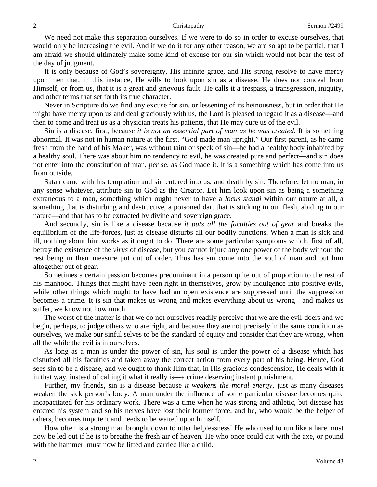We need not make this separation ourselves. If we were to do so in order to excuse ourselves, that would only be increasing the evil. And if we do it for any other reason, we are so apt to be partial, that I am afraid we should ultimately make some kind of excuse for our sin which would not bear the test of the day of judgment.

It is only because of God's sovereignty, His infinite grace, and His strong resolve to have mercy upon men that, in this instance, He wills to look upon sin as a disease. He does not conceal from Himself, or from us, that it is a great and grievous fault. He calls it a trespass, a transgression, iniquity, and other terms that set forth its true character.

Never in Scripture do we find any excuse for sin, or lessening of its heinousness, but in order that He might have mercy upon us and deal graciously with us, the Lord is pleased to regard it as a disease—and then to come and treat us as a physician treats his patients, that He may cure us of the evil.

Sin is a disease, first, because *it is not an essential part of man as he was created.* It is something abnormal. It was not in human nature at the first. "God made man upright." Our first parent, as he came fresh from the hand of his Maker, was without taint or speck of sin—he had a healthy body inhabited by a healthy soul. There was about him no tendency to evil, he was created pure and perfect—and sin does not enter into the constitution of man, *per se,* as God made it. It is a something which has come into us from outside.

Satan came with his temptation and sin entered into us, and death by sin. Therefore, let no man, in any sense whatever, attribute sin to God as the Creator. Let him look upon sin as being a something extraneous to a man, something which ought never to have a *locus standi* within our nature at all, a something that is disturbing and destructive, a poisoned dart that is sticking in our flesh, abiding in our nature—and that has to be extracted by divine and sovereign grace.

And secondly, sin is like a disease because *it puts all the faculties out of gear* and breaks the equilibrium of the life-forces, just as disease disturbs all our bodily functions. When a man is sick and ill, nothing about him works as it ought to do. There are some particular symptoms which, first of all, betray the existence of the *virus* of disease, but you cannot injure any one power of the body without the rest being in their measure put out of order. Thus has sin come into the soul of man and put him altogether out of gear.

Sometimes a certain passion becomes predominant in a person quite out of proportion to the rest of his manhood. Things that might have been right in themselves, grow by indulgence into positive evils, while other things which ought to have had an open existence are suppressed until the suppression becomes a crime. It is sin that makes us wrong and makes everything about us wrong—and makes us suffer, we know not how much.

The worst of the matter is that we do not ourselves readily perceive that we are the evil-doers and we begin, perhaps, to judge others who are right, and because they are not precisely in the same condition as ourselves, we make our sinful selves to be the standard of equity and consider that they are wrong, when all the while the evil is in ourselves.

As long as a man is under the power of sin, his soul is under the power of a disease which has disturbed all his faculties and taken away the correct action from every part of his being. Hence, God sees sin to be a disease, and we ought to thank Him that, in His gracious condescension, He deals with it in that way, instead of calling it what it really is—a crime deserving instant punishment.

Further, my friends, sin is a disease because *it weakens the moral energy*, just as many diseases weaken the sick person's body. A man under the influence of some particular disease becomes quite incapacitated for his ordinary work. There was a time when he was strong and athletic, but disease has entered his system and so his nerves have lost their former force, and he, who would be the helper of others, becomes impotent and needs to be waited upon himself.

How often is a strong man brought down to utter helplessness! He who used to run like a hare must now be led out if he is to breathe the fresh air of heaven. He who once could cut with the axe, or pound with the hammer, must now be lifted and carried like a child.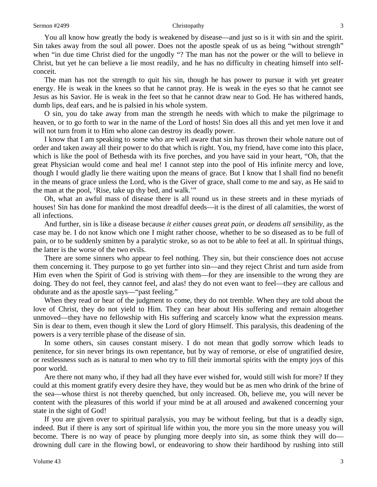You all know how greatly the body is weakened by disease—and just so is it with sin and the spirit. Sin takes away from the soul all power. Does not the apostle speak of us as being "without strength" when "in due time Christ died for the ungodly "? The man has not the power or the will to believe in Christ, but yet he can believe a lie most readily, and he has no difficulty in cheating himself into selfconceit.

The man has not the strength to quit his sin, though he has power to pursue it with yet greater energy. He is weak in the knees so that he cannot pray. He is weak in the eyes so that he cannot see Jesus as his Savior. He is weak in the feet so that he cannot draw near to God. He has withered hands, dumb lips, deaf ears, and he is palsied in his whole system.

O sin, you do take away from man the strength he needs with which to make the pilgrimage to heaven, or to go forth to war in the name of the Lord of hosts! Sin does all this and yet men love it and will not turn from it to Him who alone can destroy its deadly power.

I know that I am speaking to some who are well aware that sin has thrown their whole nature out of order and taken away all their power to do that which is right. You, my friend, have come into this place, which is like the pool of Bethesda with its five porches, and you have said in your heart, "Oh, that the great Physician would come and heal me! I cannot step into the pool of His infinite mercy and love, though I would gladly lie there waiting upon the means of grace. But I know that I shall find no benefit in the means of grace unless the Lord, who is the Giver of grace, shall come to me and say, as He said to the man at the pool, 'Rise, take up thy bed, and walk.'"

Oh, what an awful mass of disease there is all round us in these streets and in these myriads of houses! Sin has done for mankind the most dreadful deeds—it is the direst of all calamities, the worst of all infections.

And further, sin is like a disease because *it either causes great pain, or deadens all sensibility*, as the case may be. I do not know which one I might rather choose, whether to be so diseased as to be full of pain, or to be suddenly smitten by a paralytic stroke, so as not to be able to feel at all. In spiritual things, the latter is the worse of the two evils.

There are some sinners who appear to feel nothing. They sin, but their conscience does not accuse them concerning it. They purpose to go yet further into sin—and they reject Christ and turn aside from Him even when the Spirit of God is striving with them—for they are insensible to the wrong they are doing. They do not feel, they cannot feel, and alas! they do not even want to feel—they are callous and obdurate and as the apostle says—"past feeling."

When they read or hear of the judgment to come, they do not tremble. When they are told about the love of Christ, they do not yield to Him. They can hear about His suffering and remain altogether unmoved—they have no fellowship with His suffering and scarcely know what the expression means. Sin is dear to them, even though it slew the Lord of glory Himself. This paralysis, this deadening of the powers is a very terrible phase of the disease of sin.

In some others, sin causes constant misery. I do not mean that godly sorrow which leads to penitence, for sin never brings its own repentance, but by way of remorse, or else of ungratified desire, or restlessness such as is natural to men who try to fill their immortal spirits with the empty joys of this poor world.

Are there not many who, if they had all they have ever wished for, would still wish for more? If they could at this moment gratify every desire they have, they would but be as men who drink of the brine of the sea—whose thirst is not thereby quenched, but only increased. Oh, believe me, you will never be content with the pleasures of this world if your mind be at all aroused and awakened concerning your state in the sight of God!

If you are given over to spiritual paralysis, you may be without feeling, but that is a deadly sign, indeed. But if there is any sort of spiritual life within you, the more you sin the more uneasy you will become. There is no way of peace by plunging more deeply into sin, as some think they will do drowning dull care in the flowing bowl, or endeavoring to show their hardihood by rushing into still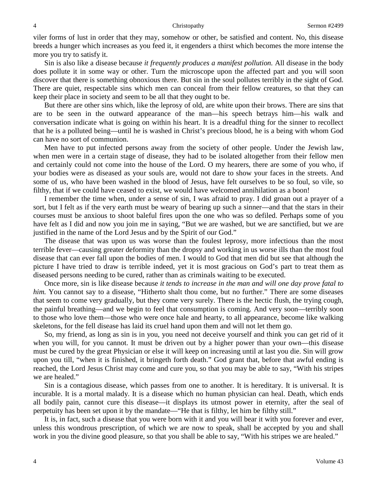viler forms of lust in order that they may, somehow or other, be satisfied and content. No, this disease breeds a hunger which increases as you feed it, it engenders a thirst which becomes the more intense the more you try to satisfy it.

Sin is also like a disease because *it frequently produces a manifest pollution.* All disease in the body does pollute it in some way or other. Turn the microscope upon the affected part and you will soon discover that there is something obnoxious there. But sin in the soul pollutes terribly in the sight of God. There are quiet, respectable sins which men can conceal from their fellow creatures, so that they can keep their place in society and seem to be all that they ought to be.

But there are other sins which, like the leprosy of old, are white upon their brows. There are sins that are to be seen in the outward appearance of the man—his speech betrays him—his walk and conversation indicate what is going on within his heart. It is a dreadful thing for the sinner to recollect that he is a polluted being—until he is washed in Christ's precious blood, he is a being with whom God can have no sort of communion.

Men have to put infected persons away from the society of other people. Under the Jewish law, when men were in a certain stage of disease, they had to be isolated altogether from their fellow men and certainly could not come into the house of the Lord. O my hearers, there are some of you who, if your bodies were as diseased as your souls are, would not dare to show your faces in the streets. And some of us, who have been washed in the blood of Jesus, have felt ourselves to be so foul, so vile, so filthy, that if we could have ceased to exist, we would have welcomed annihilation as a boon!

I remember the time when, under a sense of sin, I was afraid to pray. I did groan out a prayer of a sort, but I felt as if the very earth must be weary of bearing up such a sinner—and that the stars in their courses must be anxious to shoot baleful fires upon the one who was so defiled. Perhaps some of you have felt as I did and now you join me in saying, "But we are washed, but we are sanctified, but we are justified in the name of the Lord Jesus and by the Spirit of our God."

The disease that was upon us was worse than the foulest leprosy, more infectious than the most terrible fever—causing greater deformity than the dropsy and working in us worse ills than the most foul disease that can ever fall upon the bodies of men. I would to God that men did but see that although the picture I have tried to draw is terrible indeed, yet it is most gracious on God's part to treat them as diseased persons needing to be cured, rather than as criminals waiting to be executed.

Once more, sin is like disease because *it tends to increase in the man and will one day prove fatal to him.* You cannot say to a disease, "Hitherto shalt thou come, but no further." There are some diseases that seem to come very gradually, but they come very surely. There is the hectic flush, the trying cough, the painful breathing—and we begin to feel that consumption is coming. And very soon—terribly soon to those who love them—those who were once hale and hearty, to all appearance, become like walking skeletons, for the fell disease has laid its cruel hand upon them and will not let them go.

So, my friend, as long as sin is in you, you need not deceive yourself and think you can get rid of it when you will, for you cannot. It must be driven out by a higher power than your own—this disease must be cured by the great Physician or else it will keep on increasing until at last you die. Sin will grow upon you till, "when it is finished, it bringeth forth death." God grant that, before that awful ending is reached, the Lord Jesus Christ may come and cure you, so that you may be able to say, "With his stripes we are healed."

Sin is a contagious disease, which passes from one to another. It is hereditary. It is universal. It is incurable. It is a mortal malady. It is a disease which no human physician can heal. Death, which ends all bodily pain, cannot cure this disease—it displays its utmost power in eternity, after the seal of perpetuity has been set upon it by the mandate—"He that is filthy, let him be filthy still."

It is, in fact, such a disease that you were born with it and you will bear it with you forever and ever, unless this wondrous prescription, of which we are now to speak, shall be accepted by you and shall work in you the divine good pleasure, so that you shall be able to say, "With his stripes we are healed."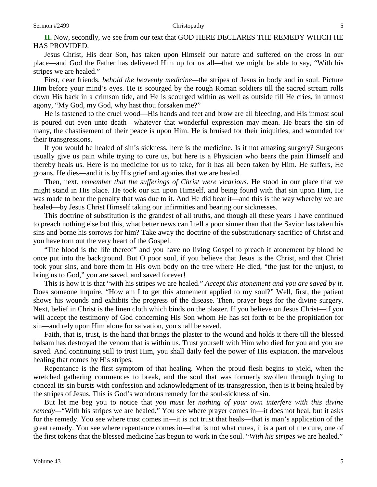**II.** Now, secondly, we see from our text that GOD HERE DECLARES THE REMEDY WHICH HE HAS PROVIDED.

Jesus Christ, His dear Son, has taken upon Himself our nature and suffered on the cross in our place—and God the Father has delivered Him up for us all—that we might be able to say, "With his stripes we are healed."

First, dear friends, *behold the heavenly medicine—*the stripes of Jesus in body and in soul. Picture Him before your mind's eyes. He is scourged by the rough Roman soldiers till the sacred stream rolls down His back in a crimson tide, and He is scourged within as well as outside till He cries, in utmost agony, "My God, my God, why hast thou forsaken me?"

He is fastened to the cruel wood—His hands and feet and brow are all bleeding, and His inmost soul is poured out even unto death—whatever that wonderful expression may mean. He bears the sin of many, the chastisement of their peace is upon Him. He is bruised for their iniquities, and wounded for their transgressions.

If you would be healed of sin's sickness, here is the medicine. Is it not amazing surgery? Surgeons usually give us pain while trying to cure us, but here is a Physician who bears the pain Himself and thereby heals us. Here is no medicine for us to take, for it has all been taken by Him. He suffers, He groans, He dies—and it is by His grief and agonies that we are healed.

Then, next, *remember that the sufferings of Christ were vicarious*. He stood in our place that we might stand in His place. He took our sin upon Himself, and being found with that sin upon Him, He was made to bear the penalty that was due to it. And He did bear it—and this is the way whereby we are healed—by Jesus Christ Himself taking our infirmities and bearing our sicknesses.

This doctrine of substitution is the grandest of all truths, and though all these years I have continued to preach nothing else but this, what better news can I tell a poor sinner than that the Savior has taken his sins and borne his sorrows for him? Take away the doctrine of the substitutionary sacrifice of Christ and you have torn out the very heart of the Gospel.

"The blood is the life thereof" and you have no living Gospel to preach if atonement by blood be once put into the background. But O poor soul, if you believe that Jesus is the Christ, and that Christ took your sins, and bore them in His own body on the tree where He died, "the just for the unjust, to bring us to God," you are saved, and saved forever!

This is how it is that "with his stripes we are healed." *Accept this atonement and you are saved by it.*  Does someone inquire, "How am I to get this atonement applied to my soul?" Well, first, the patient shows his wounds and exhibits the progress of the disease. Then, prayer begs for the divine surgery. Next, belief in Christ is the linen cloth which binds on the plaster. If you believe on Jesus Christ—if you will accept the testimony of God concerning His Son whom He has set forth to be the propitiation for sin—and rely upon Him alone for salvation, you shall be saved.

Faith, that is, trust, is the hand that brings the plaster to the wound and holds it there till the blessed balsam has destroyed the venom that is within us. Trust yourself with Him who died for you and you are saved. And continuing still to trust Him, you shall daily feel the power of His expiation, the marvelous healing that comes by His stripes.

Repentance is the first symptom of that healing. When the proud flesh begins to yield, when the wretched gathering commences to break, and the soul that was formerly swollen through trying to conceal its sin bursts with confession and acknowledgment of its transgression, then is it being healed by the stripes of Jesus. This is God's wondrous remedy for the soul-sickness of sin.

But let me beg you to notice that *you must let nothing of your own interfere with this divine remedy—*"With his stripes we are healed." You see where prayer comes in—it does not heal, but it asks for the remedy. You see where trust comes in—it is not trust that heals—that is man's application of the great remedy. You see where repentance comes in—that is not what cures, it is a part of the cure, one of the first tokens that the blessed medicine has begun to work in the soul. "*With his stripes* we are healed."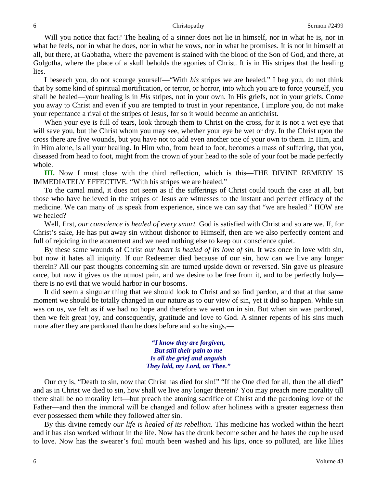Will you notice that fact? The healing of a sinner does not lie in himself, nor in what he is, nor in what he feels, nor in what he does, nor in what he vows, nor in what he promises. It is not in himself at all, but there, at Gabbatha, where the pavement is stained with the blood of the Son of God, and there, at Golgotha, where the place of a skull beholds the agonies of Christ. It is in His stripes that the healing lies.

I beseech you, do not scourge yourself—"With *his* stripes we are healed." I beg you, do not think that by some kind of spiritual mortification, or terror, or horror, into which you are to force yourself, you shall be healed—your healing is in *His* stripes, not in your own. In His griefs, not in your griefs. Come you away to Christ and even if you are tempted to trust in your repentance, I implore you, do not make your repentance a rival of the stripes of Jesus, for so it would become an antichrist.

When your eye is full of tears, look through them to Christ on the cross, for it is not a wet eye that will save you, but the Christ whom you may see, whether your eye be wet or dry. In the Christ upon the cross there are five wounds, but you have not to add even another one of your own to them. In Him, and in Him alone, is all your healing. In Him who, from head to foot, becomes a mass of suffering, that you, diseased from head to foot, might from the crown of your head to the sole of your foot be made perfectly whole.

**III.** Now I must close with the third reflection, which is this—THE DIVINE REMEDY IS IMMEDIATELY EFFECTIVE. "With his stripes we are healed."

To the carnal mind, it does not seem as if the sufferings of Christ could touch the case at all, but those who have believed in the stripes of Jesus are witnesses to the instant and perfect efficacy of the medicine. We can many of us speak from experience, since we can say that "we are healed." HOW are we healed?

Well, first, *our conscience is healed of every smart.* God is satisfied with Christ and so are we. If, for Christ's sake, He has put away sin without dishonor to Himself, then are we also perfectly content and full of rejoicing in the atonement and we need nothing else to keep our conscience quiet.

By these same wounds of Christ *our heart is healed of its love of sin.* It was once in love with sin, but now it hates all iniquity. If our Redeemer died because of our sin, how can we live any longer therein? All our past thoughts concerning sin are turned upside down or reversed. Sin gave us pleasure once, but now it gives us the utmost pain, and we desire to be free from it, and to be perfectly holy there is no evil that we would harbor in our bosoms.

It did seem a singular thing that we should look to Christ and so find pardon, and that at that same moment we should be totally changed in our nature as to our view of sin, yet it did so happen. While sin was on us, we felt as if we had no hope and therefore we went on in sin. But when sin was pardoned, then we felt great joy, and consequently, gratitude and love to God. A sinner repents of his sins much more after they are pardoned than he does before and so he sings,—

> *"I know they are forgiven, But still their pain to me Is all the grief and anguish They laid, my Lord, on Thee."*

Our cry is, "Death to sin, now that Christ has died for sin!" "If the One died for all, then the all died" and as in Christ we died to sin, how shall we live any longer therein? You may preach mere morality till there shall be no morality left—but preach the atoning sacrifice of Christ and the pardoning love of the Father—and then the immoral will be changed and follow after holiness with a greater eagerness than ever possessed them while they followed after sin.

By this divine remedy *our life is healed of its rebellion.* This medicine has worked within the heart and it has also worked without in the life. Now has the drunk become sober and he hates the cup he used to love. Now has the swearer's foul mouth been washed and his lips, once so polluted, are like lilies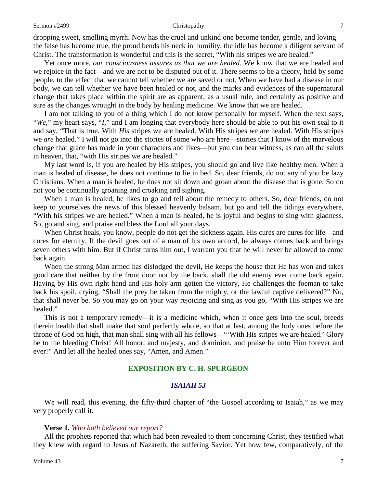### Sermon #2499 **Christopathy Christopathy** 7

dropping sweet, smelling myrrh. Now has the cruel and unkind one become tender, gentle, and loving the false has become true, the proud bends his neck in humility, the idle has become a diligent servant of Christ. The transformation is wonderful and this is the secret, "With his stripes we are healed."

Yet once more, *our consciousness assures us that we are healed.* We know that we are healed and we rejoice in the fact—and we are not to be disputed out of it. There seems to be a theory, held by some people, to the effect that we cannot tell whether we are saved or not. When we have had a disease in our body, we can tell whether we have been healed or not, and the marks and evidences of the supernatural change that takes place within the spirit are as apparent, as a usual rule, and certainly as positive and sure as the changes wrought in the body by healing medicine. We know that we are healed.

I am not talking to you of a thing which I do not know personally for myself. When the text says, "*We*," my heart says, "*I*," and I am longing that everybody here should be able to put his own seal to it and say, "That is true. With *His* stripes we are healed. With His stripes *we* are healed. With His stripes we *are* healed." I will not go into the stories of some who are here—stories that I know of the marvelous change that grace has made in your characters and lives—but you can bear witness, as can all the saints in heaven, that, "with His stripes we are healed."

My last word is, if you are healed by His stripes, you should go and live like healthy men. When a man is healed of disease, he does not continue to lie in bed. So, dear friends, do not any of you be lazy Christians. When a man is healed, he does not sit down and groan about the disease that is gone. So do not you be continually groaning and croaking and sighing.

When a man is healed, he likes to go and tell about the remedy to others. So, dear friends, do not keep to yourselves the news of this blessed heavenly balsam, but go and tell the tidings everywhere, "With his stripes we are healed." When a man is healed, he is joyful and begins to sing with gladness. So, go and sing, and praise and bless the Lord all your days.

When Christ heals, you know, people do not get the sickness again. His cures are cures for life—and cures for eternity. If the devil goes out of a man of his own accord, he always comes back and brings seven others with him. But if Christ turns him out, I warrant you that he will never be allowed to come back again.

When the strong Man armed has dislodged the devil, He keeps the house that He has won and takes good care that neither by the front door nor by the back, shall the old enemy ever come back again. Having by His own right hand and His holy arm gotten the victory, He challenges the foeman to take back his spoil, crying, "Shall the prey be taken from the mighty, or the lawful captive delivered?" No, that shall never be. So you may go on your way rejoicing and sing as you go, "With His stripes we are healed."

This is not a temporary remedy—it is a medicine which, when it once gets into the soul, breeds therein health that shall make that soul perfectly whole, so that at last, among the holy ones before the throne of God on high, that man shall sing with all his fellows—"'With His stripes we are healed.' Glory be to the bleeding Christ! All honor, and majesty, and dominion, and praise be unto Him forever and ever!" And let all the healed ones say, "Amen, and Amen."

# **EXPOSITION BY C. H. SPURGEON**

# *ISAIAH 53*

We will read, this evening, the fifty-third chapter of "the Gospel according to Isaiah," as we may very properly call it.

### **Verse 1.** *Who hath believed our report?*

All the prophets reported that which had been revealed to them concerning Christ, they testified what they knew with regard to Jesus of Nazareth, the suffering Savior. Yet how few, comparatively, of the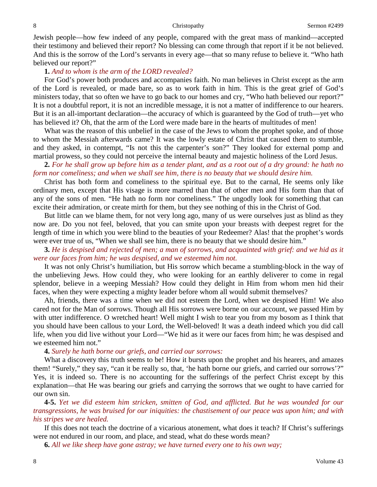Jewish people—how few indeed of any people, compared with the great mass of mankind—accepted their testimony and believed their report? No blessing can come through that report if it be not believed. And this is the sorrow of the Lord's servants in every age—that so many refuse to believe it. "Who hath believed our report?"

### **1.** *And to whom is the arm of the LORD revealed?*

For God's power both produces and accompanies faith. No man believes in Christ except as the arm of the Lord is revealed, or made bare, so as to work faith in him. This is the great grief of God's ministers today, that so often we have to go back to our homes and cry, "Who hath believed our report?" It is not a doubtful report, it is not an incredible message, it is not a matter of indifference to our hearers. But it is an all-important declaration—the accuracy of which is guaranteed by the God of truth—yet who has believed it? Oh, that the arm of the Lord were made bare in the hearts of multitudes of men!

What was the reason of this unbelief in the case of the Jews to whom the prophet spoke, and of those to whom the Messiah afterwards came? It was the lowly estate of Christ that caused them to stumble, and they asked, in contempt, "Is not this the carpenter's son?" They looked for external pomp and martial prowess, so they could not perceive the internal beauty and majestic holiness of the Lord Jesus.

**2.** *For he shall grow up before him as a tender plant, and as a root out of a dry ground: he hath no form nor comeliness; and when we shall see him, there is no beauty that we should desire him.*

Christ has both form and comeliness to the spiritual eye. But to the carnal, He seems only like ordinary men, except that His visage is more marred than that of other men and His form than that of any of the sons of men. "He hath no form nor comeliness." The ungodly look for something that can excite their admiration, or create mirth for them, but they see nothing of this in the Christ of God.

But little can we blame them, for not very long ago, many of us were ourselves just as blind as they now are. Do you not feel, beloved, that you can smite upon your breasts with deepest regret for the length of time in which you were blind to the beauties of your Redeemer? Alas! that the prophet's words were ever true of us, "When we shall see him, there is no beauty that we should desire him."

**3.** *He is despised and rejected of men; a man of sorrows, and acquainted with grief: and we hid as it were our faces from him; he was despised, and we esteemed him not.*

It was not only Christ's humiliation, but His sorrow which became a stumbling-block in the way of the unbelieving Jews. How could they, who were looking for an earthly deliverer to come in regal splendor, believe in a weeping Messiah? How could they delight in Him from whom men hid their faces, when they were expecting a mighty leader before whom all would submit themselves?

Ah, friends, there was a time when we did not esteem the Lord, when we despised Him! We also cared not for the Man of sorrows. Though all His sorrows were borne on our account, we passed Him by with utter indifference. O wretched heart! Well might I wish to tear you from my bosom as I think that you should have been callous to your Lord, the Well-beloved! It was a death indeed which you did call life, when you did live without your Lord—"We hid as it were our faces from him; he was despised and we esteemed him not."

### **4.** *Surely he hath borne our griefs, and carried our sorrows:*

What a discovery this truth seems to be! How it bursts upon the prophet and his hearers, and amazes them! "Surely," they say, "can it be really so, that, 'he hath borne our griefs, and carried our sorrows'?" Yes, it is indeed so. There is no accounting for the sufferings of the perfect Christ except by this explanation—that He was bearing our griefs and carrying the sorrows that we ought to have carried for our own sin.

**4-5.** *Yet we did esteem him stricken, smitten of God, and afflicted. But he was wounded for our transgressions, he was bruised for our iniquities: the chastisement of our peace was upon him; and with his stripes we are healed.*

If this does not teach the doctrine of a vicarious atonement*,* what does it teach? If Christ's sufferings were not endured in our room, and place, and stead, what do these words mean?

**6.** *All we like sheep have gone astray; we have turned every one to his own way;*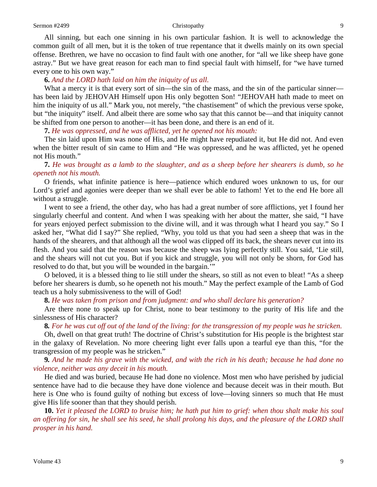All sinning, but each one sinning in his own particular fashion. It is well to acknowledge the common guilt of all men, but it is the token of true repentance that it dwells mainly on its own special offense. Brethren, we have no occasion to find fault with one another, for "all we like sheep have gone astray." But we have great reason for each man to find special fault with himself, for "we have turned every one to his own way."

### **6.** *And the LORD hath laid on him the iniquity of us all.*

What a mercy it is that every sort of sin—the sin of the mass, and the sin of the particular sinner has been laid by JEHOVAH Himself upon His only begotten Son! "JEHOVAH hath made to meet on him the iniquity of us all." Mark you, not merely, "the chastisement" of which the previous verse spoke, but "the iniquity" itself. And albeit there are some who say that this cannot be—and that iniquity cannot be shifted from one person to another—it has been done, and there is an end of it.

**7.** *He was oppressed, and he was afflicted, yet he opened not his mouth:*

The sin laid upon Him was none of His, and He might have repudiated it, but He did not. And even when the bitter result of sin came to Him and "He was oppressed, and he was afflicted, yet he opened not His mouth."

**7.** *He was brought as a lamb to the slaughter, and as a sheep before her shearers is dumb, so he openeth not his mouth.* 

O friends, what infinite patience is here—patience which endured woes unknown to us, for our Lord's grief and agonies were deeper than we shall ever be able to fathom! Yet to the end He bore all without a struggle.

I went to see a friend, the other day, who has had a great number of sore afflictions, yet I found her singularly cheerful and content. And when I was speaking with her about the matter, she said, "I have for years enjoyed perfect submission to the divine will, and it was through what I heard you say." So I asked her, "What did I say?" She replied, "Why, you told us that you had seen a sheep that was in the hands of the shearers, and that although all the wool was clipped off its back, the shears never cut into its flesh. And you said that the reason was because the sheep was lying perfectly still. You said, 'Lie still, and the shears will not cut you. But if you kick and struggle, you will not only be shorn, for God has resolved to do that, but you will be wounded in the bargain.'"

O beloved, it is a blessed thing to lie still under the shears, so still as not even to bleat! "As a sheep before her shearers is dumb, so he openeth not his mouth." May the perfect example of the Lamb of God teach us a holy submissiveness to the will of God!

**8.** *He was taken from prison and from judgment: and who shall declare his generation?*

Are there none to speak up for Christ, none to bear testimony to the purity of His life and the sinlessness of His character?

# **8***. For he was cut off out of the land of the living: for the transgression of my people was he stricken.*

Oh, dwell on that great truth! The doctrine of Christ's substitution for His people is the brightest star in the galaxy of Revelation. No more cheering light ever falls upon a tearful eye than this, "for the transgression of my people was he stricken."

**9***. And he made his grave with the wicked, and with the rich in his death; because he had done no violence, neither was any deceit in his mouth.*

He died and was buried, because He had done no violence. Most men who have perished by judicial sentence have had to die because they have done violence and because deceit was in their mouth. But here is One who is found guilty of nothing but excess of love—loving sinners so much that He must give His life sooner than that they should perish.

**10.** *Yet it pleased the LORD to bruise him; he hath put him to grief: when thou shalt make his soul an offering for sin, he shall see his seed, he shall prolong his days, and the pleasure of the LORD shall prosper in his hand.*